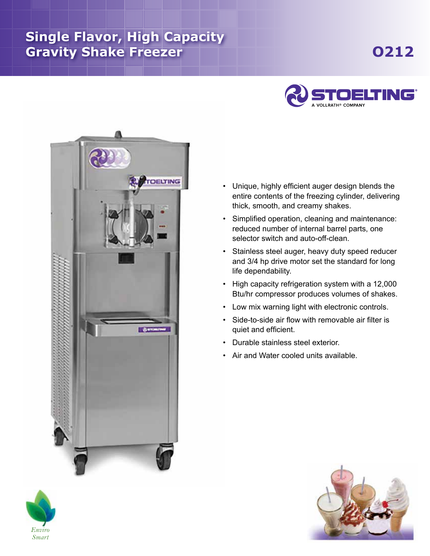## **Single Flavor, High Capacity** Gravity Shake Freezer **The Contract of Shake Shake Shake Shake Shake Shake Shake Shake Shake Shake Shake Shake Shake Shake Shake Shake Shake Shake Shake Shake Shake Shake Shake Shake Shake Shake Shake Shake Shake Shake Sha**





- Unique, highly efficient auger design blends the entire contents of the freezing cylinder, delivering thick, smooth, and creamy shakes.
- Simplified operation, cleaning and maintenance: reduced number of internal barrel parts, one selector switch and auto-off-clean.
- Stainless steel auger, heavy duty speed reducer and 3/4 hp drive motor set the standard for long life dependability.
- High capacity refrigeration system with a 12,000 Btu/hr compressor produces volumes of shakes.
- Low mix warning light with electronic controls.
- Side-to-side air flow with removable air filter is quiet and efficient.
- Durable stainless steel exterior.
- Air and Water cooled units available.